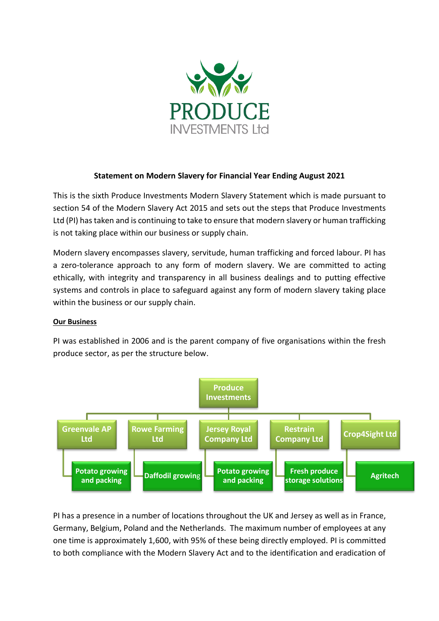

# **Statement on Modern Slavery for Financial Year Ending August 2021**

This is the sixth Produce Investments Modern Slavery Statement which is made pursuant to section 54 of the Modern Slavery Act 2015 and sets out the steps that Produce Investments Ltd (PI) has taken and is continuing to take to ensure that modern slavery or human trafficking is not taking place within our business or supply chain.

Modern slavery encompasses slavery, servitude, human trafficking and forced labour. PI has a zero-tolerance approach to any form of modern slavery. We are committed to acting ethically, with integrity and transparency in all business dealings and to putting effective systems and controls in place to safeguard against any form of modern slavery taking place within the business or our supply chain.

#### **Our Business**

PI was established in 2006 and is the parent company of five organisations within the fresh produce sector, as per the structure below.



PI has a presence in a number of locations throughout the UK and Jersey as well as in France, Germany, Belgium, Poland and the Netherlands. The maximum number of employees at any one time is approximately 1,600, with 95% of these being directly employed. PI is committed to both compliance with the Modern Slavery Act and to the identification and eradication of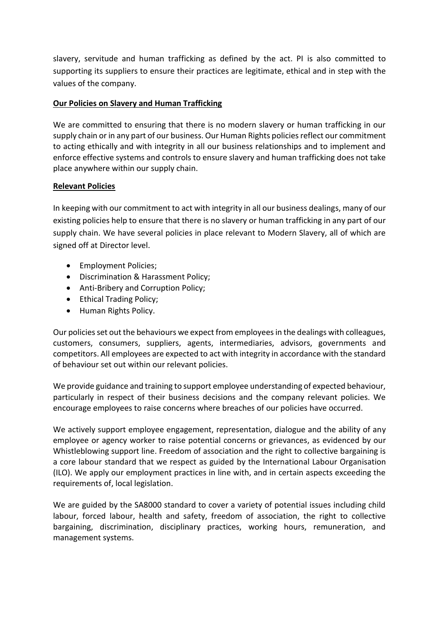slavery, servitude and human trafficking as defined by the act. PI is also committed to supporting its suppliers to ensure their practices are legitimate, ethical and in step with the values of the company.

# **Our Policies on Slavery and Human Trafficking**

We are committed to ensuring that there is no modern slavery or human trafficking in our supply chain or in any part of our business. Our Human Rights policies reflect our commitment to acting ethically and with integrity in all our business relationships and to implement and enforce effective systems and controls to ensure slavery and human trafficking does not take place anywhere within our supply chain.

#### **Relevant Policies**

In keeping with our commitment to act with integrity in all our business dealings, many of our existing policies help to ensure that there is no slavery or human trafficking in any part of our supply chain. We have several policies in place relevant to Modern Slavery, all of which are signed off at Director level.

- Employment Policies;
- Discrimination & Harassment Policy;
- Anti-Bribery and Corruption Policy;
- Ethical Trading Policy;
- Human Rights Policy.

Our policies set out the behaviours we expect from employees in the dealings with colleagues, customers, consumers, suppliers, agents, intermediaries, advisors, governments and competitors. All employees are expected to act with integrity in accordance with the standard of behaviour set out within our relevant policies.

We provide guidance and training to support employee understanding of expected behaviour, particularly in respect of their business decisions and the company relevant policies. We encourage employees to raise concerns where breaches of our policies have occurred.

We actively support employee engagement, representation, dialogue and the ability of any employee or agency worker to raise potential concerns or grievances, as evidenced by our Whistleblowing support line. Freedom of association and the right to collective bargaining is a core labour standard that we respect as guided by the International Labour Organisation (ILO). We apply our employment practices in line with, and in certain aspects exceeding the requirements of, local legislation.

We are guided by the SA8000 standard to cover a variety of potential issues including child labour, forced labour, health and safety, freedom of association, the right to collective bargaining, discrimination, disciplinary practices, working hours, remuneration, and management systems.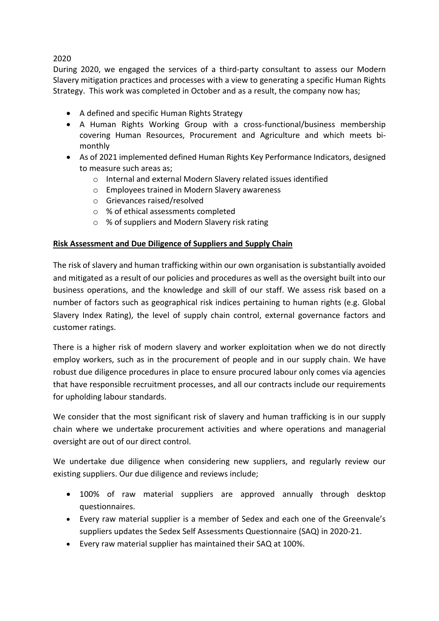# 2020

During 2020, we engaged the services of a third-party consultant to assess our Modern Slavery mitigation practices and processes with a view to generating a specific Human Rights Strategy. This work was completed in October and as a result, the company now has;

- A defined and specific Human Rights Strategy
- A Human Rights Working Group with a cross-functional/business membership covering Human Resources, Procurement and Agriculture and which meets bimonthly
- As of 2021 implemented defined Human Rights Key Performance Indicators, designed to measure such areas as;
	- o Internal and external Modern Slavery related issues identified
	- o Employees trained in Modern Slavery awareness
	- o Grievances raised/resolved
	- o % of ethical assessments completed
	- o % of suppliers and Modern Slavery risk rating

# **Risk Assessment and Due Diligence of Suppliers and Supply Chain**

The risk of slavery and human trafficking within our own organisation is substantially avoided and mitigated as a result of our policies and procedures as well as the oversight built into our business operations, and the knowledge and skill of our staff. We assess risk based on a number of factors such as geographical risk indices pertaining to human rights (e.g. Global Slavery Index Rating), the level of supply chain control, external governance factors and customer ratings.

There is a higher risk of modern slavery and worker exploitation when we do not directly employ workers, such as in the procurement of people and in our supply chain. We have robust due diligence procedures in place to ensure procured labour only comes via agencies that have responsible recruitment processes, and all our contracts include our requirements for upholding labour standards.

We consider that the most significant risk of slavery and human trafficking is in our supply chain where we undertake procurement activities and where operations and managerial oversight are out of our direct control.

We undertake due diligence when considering new suppliers, and regularly review our existing suppliers. Our due diligence and reviews include;

- 100% of raw material suppliers are approved annually through desktop questionnaires.
- Every raw material supplier is a member of Sedex and each one of the Greenvale's suppliers updates the Sedex Self Assessments Questionnaire (SAQ) in 2020-21.
- Every raw material supplier has maintained their SAQ at 100%.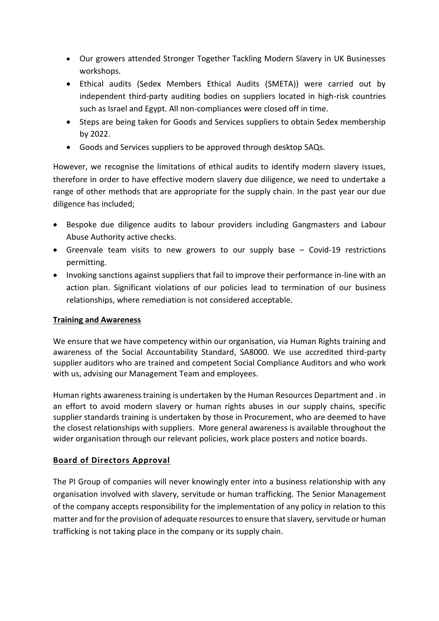- Our growers attended Stronger Together Tackling Modern Slavery in UK Businesses workshops.
- Ethical audits (Sedex Members Ethical Audits (SMETA)) were carried out by independent third-party auditing bodies on suppliers located in high-risk countries such as Israel and Egypt. All non-compliances were closed off in time.
- Steps are being taken for Goods and Services suppliers to obtain Sedex membership by 2022.
- Goods and Services suppliers to be approved through desktop SAQs.

However, we recognise the limitations of ethical audits to identify modern slavery issues, therefore in order to have effective modern slavery due diligence, we need to undertake a range of other methods that are appropriate for the supply chain. In the past year our due diligence has included;

- Bespoke due diligence audits to labour providers including Gangmasters and Labour Abuse Authority active checks.
- Greenvale team visits to new growers to our supply base Covid-19 restrictions permitting.
- Invoking sanctions against suppliers that fail to improve their performance in-line with an action plan. Significant violations of our policies lead to termination of our business relationships, where remediation is not considered acceptable.

# **Training and Awareness**

We ensure that we have competency within our organisation, via Human Rights training and awareness of the Social Accountability Standard, SA8000. We use accredited third-party supplier auditors who are trained and competent Social Compliance Auditors and who work with us, advising our Management Team and employees.

Human rights awareness training is undertaken by the Human Resources Department and . in an effort to avoid modern slavery or human rights abuses in our supply chains, specific supplier standards training is undertaken by those in Procurement, who are deemed to have the closest relationships with suppliers. More general awareness is available throughout the wider organisation through our relevant policies, work place posters and notice boards.

# **Board of Directors Approval**

The PI Group of companies will never knowingly enter into a business relationship with any organisation involved with slavery, servitude or human trafficking. The Senior Management of the company accepts responsibility for the implementation of any policy in relation to this matter and for the provision of adequate resources to ensure that slavery, servitude or human trafficking is not taking place in the company or its supply chain.